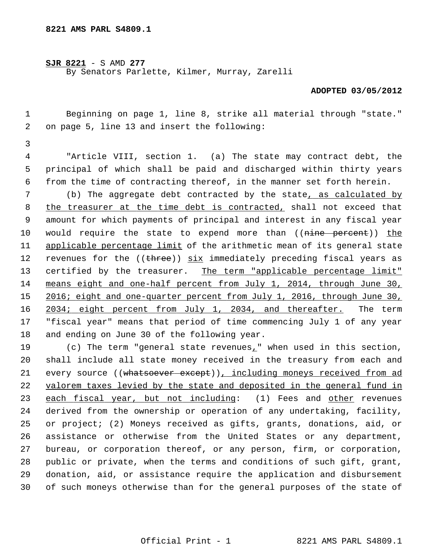**SJR 8221** - S AMD **277** By Senators Parlette, Kilmer, Murray, Zarelli

## **ADOPTED 03/05/2012**

 1 Beginning on page 1, line 8, strike all material through "state." 2 on page 5, line 13 and insert the following:

3

 4 "Article VIII, section 1. (a) The state may contract debt, the 5 principal of which shall be paid and discharged within thirty years 6 from the time of contracting thereof, in the manner set forth herein.

 7 (b) The aggregate debt contracted by the state, as calculated by 8 the treasurer at the time debt is contracted, shall not exceed that 9 amount for which payments of principal and interest in any fiscal year 10 would require the state to expend more than ((nine percent)) the 11 applicable percentage limit of the arithmetic mean of its general state 12 revenues for the ((three)) six immediately preceding fiscal years as 13 certified by the treasurer. The term "applicable percentage limit" 14 means eight and one-half percent from July 1, 2014, through June 30, 15 2016; eight and one-quarter percent from July 1, 2016, through June 30, 16 2034; eight percent from July 1, 2034, and thereafter. The term 17 "fiscal year" means that period of time commencing July 1 of any year 18 and ending on June 30 of the following year.

19 (c) The term "general state revenues," when used in this section, 20 shall include all state money received in the treasury from each and 21 every source ((whatsoever except)), including moneys received from ad 22 valorem taxes levied by the state and deposited in the general fund in 23 each fiscal year, but not including: (1) Fees and other revenues 24 derived from the ownership or operation of any undertaking, facility, 25 or project; (2) Moneys received as gifts, grants, donations, aid, or 26 assistance or otherwise from the United States or any department, 27 bureau, or corporation thereof, or any person, firm, or corporation, 28 public or private, when the terms and conditions of such gift, grant, 29 donation, aid, or assistance require the application and disbursement 30 of such moneys otherwise than for the general purposes of the state of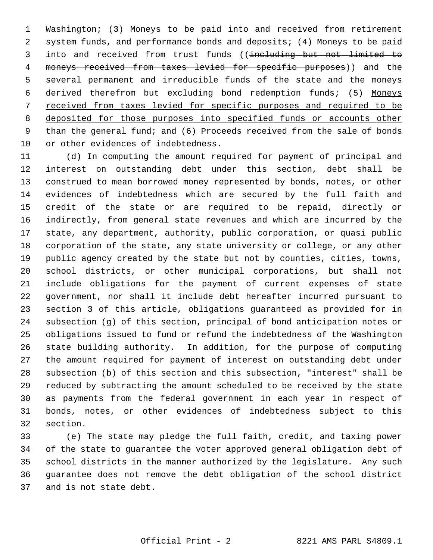1 Washington; (3) Moneys to be paid into and received from retirement 2 system funds, and performance bonds and deposits; (4) Moneys to be paid 3 into and received from trust funds ((including but not limited to 4 moneys received from taxes levied for specific purposes)) and the 5 several permanent and irreducible funds of the state and the moneys 6 derived therefrom but excluding bond redemption funds; (5) Moneys 7 received from taxes levied for specific purposes and required to be 8 deposited for those purposes into specified funds or accounts other 9 than the general fund; and (6) Proceeds received from the sale of bonds 10 or other evidences of indebtedness.

11 (d) In computing the amount required for payment of principal and 12 interest on outstanding debt under this section, debt shall be 13 construed to mean borrowed money represented by bonds, notes, or other 14 evidences of indebtedness which are secured by the full faith and 15 credit of the state or are required to be repaid, directly or 16 indirectly, from general state revenues and which are incurred by the 17 state, any department, authority, public corporation, or quasi public 18 corporation of the state, any state university or college, or any other 19 public agency created by the state but not by counties, cities, towns, 20 school districts, or other municipal corporations, but shall not 21 include obligations for the payment of current expenses of state 22 government, nor shall it include debt hereafter incurred pursuant to 23 section 3 of this article, obligations guaranteed as provided for in 24 subsection (g) of this section, principal of bond anticipation notes or 25 obligations issued to fund or refund the indebtedness of the Washington 26 state building authority. In addition, for the purpose of computing 27 the amount required for payment of interest on outstanding debt under 28 subsection (b) of this section and this subsection, "interest" shall be 29 reduced by subtracting the amount scheduled to be received by the state 30 as payments from the federal government in each year in respect of 31 bonds, notes, or other evidences of indebtedness subject to this 32 section.

33 (e) The state may pledge the full faith, credit, and taxing power 34 of the state to guarantee the voter approved general obligation debt of 35 school districts in the manner authorized by the legislature. Any such 36 guarantee does not remove the debt obligation of the school district 37 and is not state debt.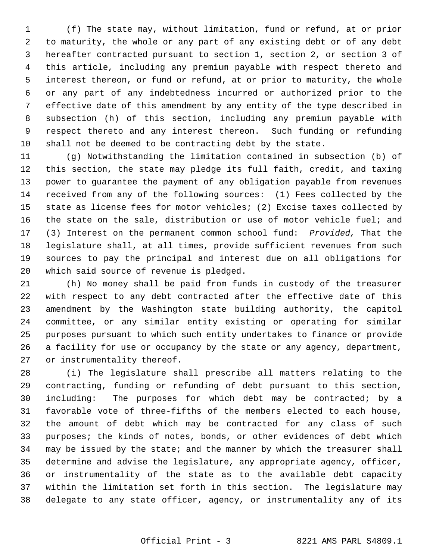1 (f) The state may, without limitation, fund or refund, at or prior 2 to maturity, the whole or any part of any existing debt or of any debt 3 hereafter contracted pursuant to section 1, section 2, or section 3 of 4 this article, including any premium payable with respect thereto and 5 interest thereon, or fund or refund, at or prior to maturity, the whole 6 or any part of any indebtedness incurred or authorized prior to the 7 effective date of this amendment by any entity of the type described in 8 subsection (h) of this section, including any premium payable with 9 respect thereto and any interest thereon. Such funding or refunding 10 shall not be deemed to be contracting debt by the state.

11 (g) Notwithstanding the limitation contained in subsection (b) of 12 this section, the state may pledge its full faith, credit, and taxing 13 power to guarantee the payment of any obligation payable from revenues 14 received from any of the following sources: (1) Fees collected by the 15 state as license fees for motor vehicles; (2) Excise taxes collected by 16 the state on the sale, distribution or use of motor vehicle fuel; and 17 (3) Interest on the permanent common school fund: *Provided,* That the 18 legislature shall, at all times, provide sufficient revenues from such 19 sources to pay the principal and interest due on all obligations for 20 which said source of revenue is pledged.

21 (h) No money shall be paid from funds in custody of the treasurer 22 with respect to any debt contracted after the effective date of this 23 amendment by the Washington state building authority, the capitol 24 committee, or any similar entity existing or operating for similar 25 purposes pursuant to which such entity undertakes to finance or provide 26 a facility for use or occupancy by the state or any agency, department, 27 or instrumentality thereof.

28 (i) The legislature shall prescribe all matters relating to the 29 contracting, funding or refunding of debt pursuant to this section, 30 including: The purposes for which debt may be contracted; by a 31 favorable vote of three-fifths of the members elected to each house, 32 the amount of debt which may be contracted for any class of such 33 purposes; the kinds of notes, bonds, or other evidences of debt which 34 may be issued by the state; and the manner by which the treasurer shall 35 determine and advise the legislature, any appropriate agency, officer, 36 or instrumentality of the state as to the available debt capacity 37 within the limitation set forth in this section. The legislature may 38 delegate to any state officer, agency, or instrumentality any of its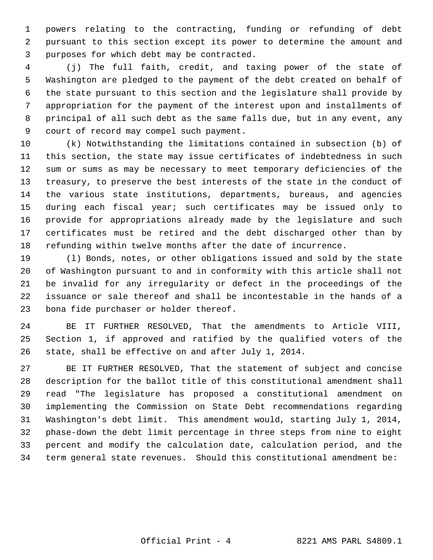1 powers relating to the contracting, funding or refunding of debt 2 pursuant to this section except its power to determine the amount and 3 purposes for which debt may be contracted.

 4 (j) The full faith, credit, and taxing power of the state of 5 Washington are pledged to the payment of the debt created on behalf of 6 the state pursuant to this section and the legislature shall provide by 7 appropriation for the payment of the interest upon and installments of 8 principal of all such debt as the same falls due, but in any event, any 9 court of record may compel such payment.

10 (k) Notwithstanding the limitations contained in subsection (b) of 11 this section, the state may issue certificates of indebtedness in such 12 sum or sums as may be necessary to meet temporary deficiencies of the 13 treasury, to preserve the best interests of the state in the conduct of 14 the various state institutions, departments, bureaus, and agencies 15 during each fiscal year; such certificates may be issued only to 16 provide for appropriations already made by the legislature and such 17 certificates must be retired and the debt discharged other than by 18 refunding within twelve months after the date of incurrence.

19 (l) Bonds, notes, or other obligations issued and sold by the state 20 of Washington pursuant to and in conformity with this article shall not 21 be invalid for any irregularity or defect in the proceedings of the 22 issuance or sale thereof and shall be incontestable in the hands of a 23 bona fide purchaser or holder thereof.

24 BE IT FURTHER RESOLVED, That the amendments to Article VIII, 25 Section 1, if approved and ratified by the qualified voters of the 26 state, shall be effective on and after July 1, 2014.

27 BE IT FURTHER RESOLVED, That the statement of subject and concise 28 description for the ballot title of this constitutional amendment shall 29 read "The legislature has proposed a constitutional amendment on 30 implementing the Commission on State Debt recommendations regarding 31 Washington's debt limit. This amendment would, starting July 1, 2014, 32 phase-down the debt limit percentage in three steps from nine to eight 33 percent and modify the calculation date, calculation period, and the 34 term general state revenues. Should this constitutional amendment be: